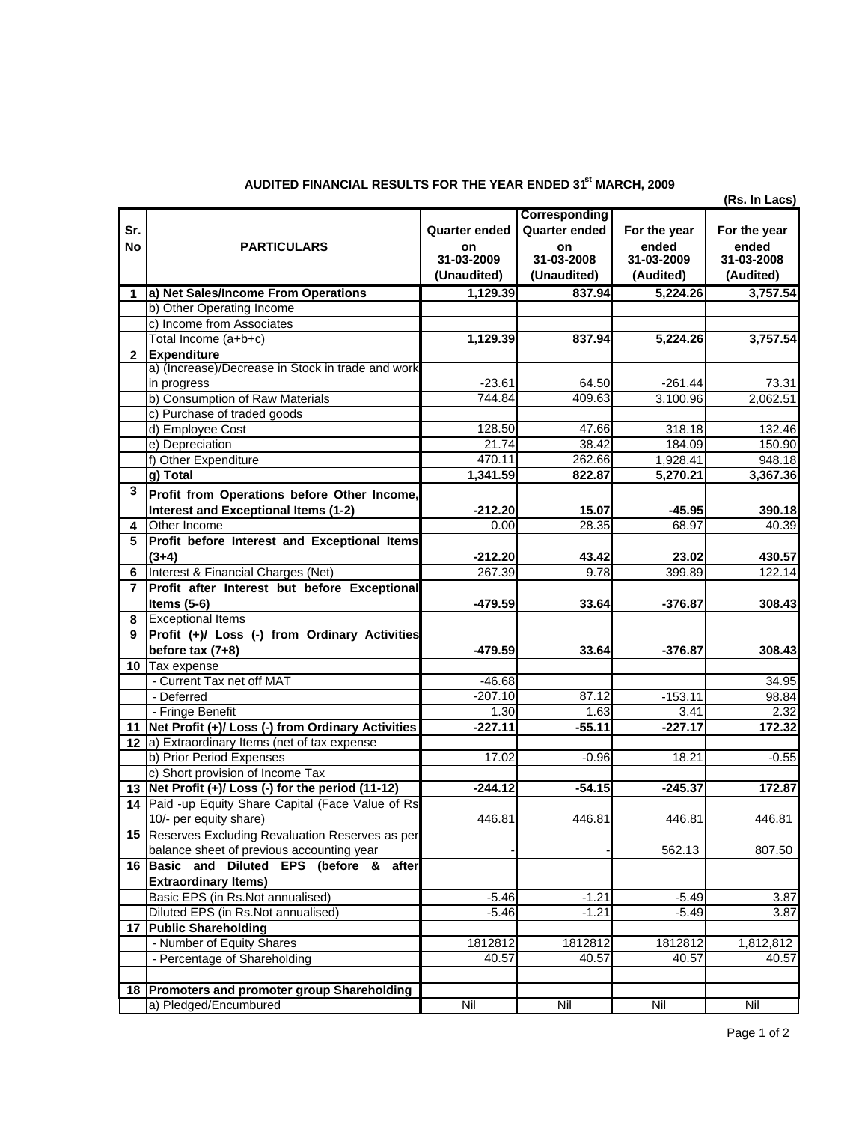|              | AL REGULTUT UR THE TEAR ENDED UT THE<br>(Rs. In Lacs)                                  |                         |                      |                     |                     |  |  |  |  |  |
|--------------|----------------------------------------------------------------------------------------|-------------------------|----------------------|---------------------|---------------------|--|--|--|--|--|
|              |                                                                                        |                         |                      |                     |                     |  |  |  |  |  |
| Sr.          |                                                                                        | <b>Quarter ended</b>    | <b>Quarter ended</b> | For the year        | For the year        |  |  |  |  |  |
| <b>No</b>    | <b>PARTICULARS</b>                                                                     | <b>on</b><br>31-03-2009 | on<br>31-03-2008     | ended<br>31-03-2009 | ended<br>31-03-2008 |  |  |  |  |  |
|              |                                                                                        | (Unaudited)             | (Unaudited)          | (Audited)           | (Audited)           |  |  |  |  |  |
| 1            | a) Net Sales/Income From Operations                                                    | 1,129.39                | 837.94               | 5,224.26            | 3,757.54            |  |  |  |  |  |
|              | b) Other Operating Income                                                              |                         |                      |                     |                     |  |  |  |  |  |
|              | c) Income from Associates                                                              |                         |                      |                     |                     |  |  |  |  |  |
|              | Total Income (a+b+c)                                                                   | 1,129.39                | 837.94               | 5,224.26            | 3,757.54            |  |  |  |  |  |
| $\mathbf{2}$ | <b>Expenditure</b>                                                                     |                         |                      |                     |                     |  |  |  |  |  |
|              | a) (Increase)/Decrease in Stock in trade and work                                      |                         |                      |                     |                     |  |  |  |  |  |
|              | in progress                                                                            | $-23.61$                | 64.50                | $-261.44$           | 73.31               |  |  |  |  |  |
|              | b) Consumption of Raw Materials                                                        | 744.84                  | 409.63               | 3,100.96            | 2,062.51            |  |  |  |  |  |
|              | c) Purchase of traded goods                                                            |                         |                      |                     |                     |  |  |  |  |  |
|              | d) Employee Cost                                                                       | 128.50                  | 47.66                | 318.18              | 132.46              |  |  |  |  |  |
|              | e) Depreciation                                                                        | 21.74                   | 38.42                | 184.09              | 150.90              |  |  |  |  |  |
|              | f) Other Expenditure                                                                   | 470.11                  | 262.66               | 1,928.41            | 948.18              |  |  |  |  |  |
|              | g) Total                                                                               | 1,341.59                | 822.87               | 5,270.21            | 3,367.36            |  |  |  |  |  |
| 3            | Profit from Operations before Other Income,                                            |                         |                      |                     |                     |  |  |  |  |  |
|              | <b>Interest and Exceptional Items (1-2)</b>                                            | $-212.20$               | 15.07                | $-45.95$            | 390.18              |  |  |  |  |  |
| 4            | Other Income                                                                           | 0.00                    | 28.35                | 68.97               | 40.39               |  |  |  |  |  |
| 5            | Profit before Interest and Exceptional Items                                           |                         |                      |                     |                     |  |  |  |  |  |
|              | $(3+4)$                                                                                | $-212.20$               | 43.42                | 23.02               | 430.57              |  |  |  |  |  |
| 6            | Interest & Financial Charges (Net)                                                     | 267.39                  | 9.78                 | 399.89              | 122.14              |  |  |  |  |  |
| 7            | Profit after Interest but before Exceptional                                           |                         |                      |                     |                     |  |  |  |  |  |
|              | Items $(5-6)$                                                                          | -479.59                 | 33.64                | -376.87             | 308.43              |  |  |  |  |  |
| 8            | <b>Exceptional Items</b>                                                               |                         |                      |                     |                     |  |  |  |  |  |
| 9            | Profit (+)/ Loss (-) from Ordinary Activities                                          |                         |                      |                     |                     |  |  |  |  |  |
|              | before tax $(7+8)$                                                                     | $-479.59$               | 33.64                | $-376.87$           | 308.43              |  |  |  |  |  |
|              | 10 Tax expense                                                                         |                         |                      |                     |                     |  |  |  |  |  |
|              | - Current Tax net off MAT                                                              | $-46.68$                |                      |                     | 34.95               |  |  |  |  |  |
|              | - Deferred                                                                             | $-207.10$               | 87.12                | $-153.11$           | 98.84               |  |  |  |  |  |
|              | - Fringe Benefit                                                                       | 1.30                    | 1.63                 | 3.41                | 2.32                |  |  |  |  |  |
|              | 11 Net Profit (+)/ Loss (-) from Ordinary Activities                                   | $-227.11$               | $-55.11$             | $-227.17$           | 172.32              |  |  |  |  |  |
|              | 12 a) Extraordinary Items (net of tax expense                                          |                         |                      |                     |                     |  |  |  |  |  |
|              | b) Prior Period Expenses                                                               | 17.02                   | $-0.96$              | 18.21               | $-0.55$             |  |  |  |  |  |
|              | c) Short provision of Income Tax<br>13 Net Profit (+)/ Loss (-) for the period (11-12) | $-244.12$               | $-54.15$             | $-245.37$           | 172.87              |  |  |  |  |  |
|              | 14 Paid -up Equity Share Capital (Face Value of Rs                                     |                         |                      |                     |                     |  |  |  |  |  |
|              | 10/- per equity share)                                                                 | 446.81                  | 446.81               | 446.81              | 446.81              |  |  |  |  |  |
|              | 15 Reserves Excluding Revaluation Reserves as per                                      |                         |                      |                     |                     |  |  |  |  |  |
|              | balance sheet of previous accounting year                                              |                         |                      | 562.13              | 807.50              |  |  |  |  |  |
|              | 16 Basic and Diluted EPS (before & after                                               |                         |                      |                     |                     |  |  |  |  |  |
|              | <b>Extraordinary Items)</b>                                                            |                         |                      |                     |                     |  |  |  |  |  |
|              | Basic EPS (in Rs.Not annualised)                                                       | $-5.46$                 | $-1.21$              | $-5.49$             | 3.87                |  |  |  |  |  |
|              | Diluted EPS (in Rs.Not annualised)                                                     | $-5.46$                 | $-1.21$              | $-5.49$             | 3.87                |  |  |  |  |  |
|              | 17 Public Shareholding                                                                 |                         |                      |                     |                     |  |  |  |  |  |
|              | - Number of Equity Shares                                                              | 1812812                 | 1812812              | 1812812             | 1,812,812           |  |  |  |  |  |
|              | - Percentage of Shareholding                                                           | 40.57                   | 40.57                | 40.57               | 40.57               |  |  |  |  |  |
|              |                                                                                        |                         |                      |                     |                     |  |  |  |  |  |
|              | 18 Promoters and promoter group Shareholding                                           |                         |                      |                     |                     |  |  |  |  |  |
|              | a) Pledged/Encumbured                                                                  | Nil                     | Nil                  | Nil                 | Nil                 |  |  |  |  |  |

## **AUDITED FINANCIAL RESULTS FOR THE YEAR ENDED 31st MARCH, 2009**